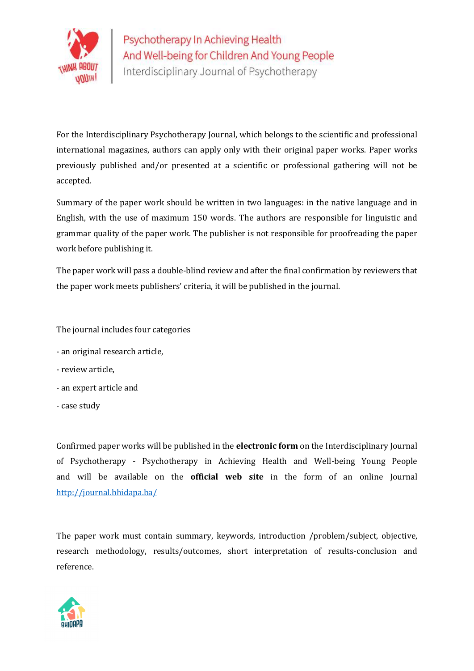

For the Interdisciplinary Psychotherapy Journal, which belongs to the scientific and professional international magazines, authors can apply only with their original paper works. Paper works previously published and/or presented at a scientific or professional gathering will not be accepted.

Summary of the paper work should be written in two languages: in the native language and in English, with the use of maximum 150 words. The authors are responsible for linguistic and grammar quality of the paper work. The publisher is not responsible for proofreading the paper work before publishing it.

The paper work will pass a double-blind review and after the final confirmation by reviewers that the paper work meets publishers' criteria, it will be published in the journal.

The journal includes four categories

- an original research article,
- review article,
- an expert article and
- case study

Confirmed paper works will be published in the electronic form on the Interdisciplinary Journal of Psychotherapy - Psychotherapy in Achieving Health and Well-being Young People and will be available on the **official web site** in the form of an online Journal http://journal.bhidapa.ba/

The paper work must contain summary, keywords, introduction /problem/subject, objective, research methodology, results/outcomes, short interpretation of results-conclusion and reference.